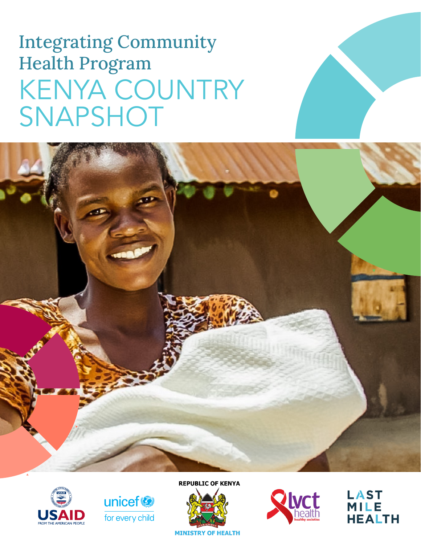# Integrating Community Health Program KENYA COUNTRY SNAPSHOT







**REPUBLIC OF KENYA** 





**LAST MILE HEALTH**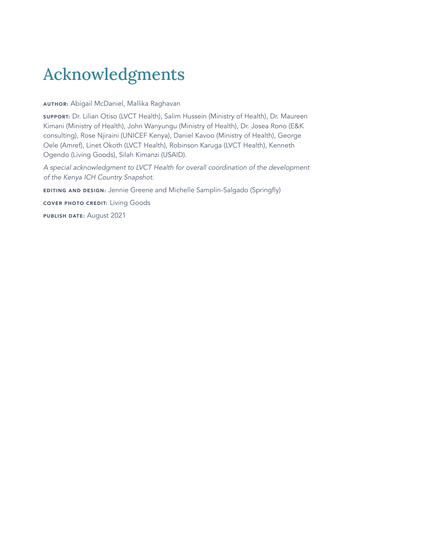# Acknowledgments

AUTHOR: Abigail McDaniel, Mallika Raghavan

SUPPORT: Dr. Lilian Otiso (LVCT Health), Salim Hussein (Ministry of Health), Dr. Maureen Kimani (Ministry of Health), John Wanyungu (Ministry of Health), Dr. Josea Rono (E&K consulting), Rose Njiraini (UNICEF Kenya), Daniel Kavoo (Ministry of Health), George Oele (Amref), Linet Okoth (LVCT Health), Robinson Karuga (LVCT Health), Kenneth Ogendo (Living Goods), Silah Kimanzi (USAID).

*A special acknowledgment to LVCT Health for overall coordination of the development of the Kenya ICH Country Snapshot.* 

EDITING AND DESIGN: Jennie Greene and Michelle Samplin-Salgado (Springfly)

COVER PHOTO CREDIT: Living Goods

PUBLISH DATE: August 2021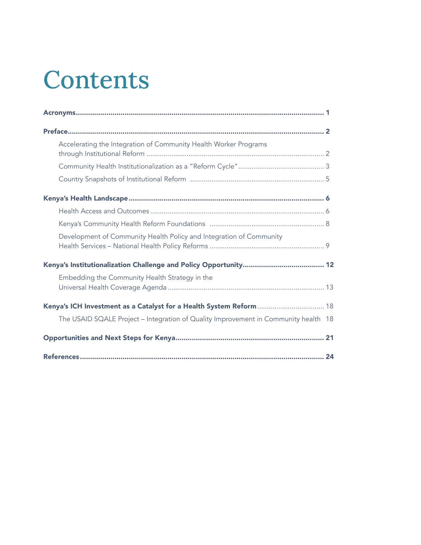# Contents

| Accelerating the Integration of Community Health Worker Programs                    |  |
|-------------------------------------------------------------------------------------|--|
|                                                                                     |  |
|                                                                                     |  |
|                                                                                     |  |
|                                                                                     |  |
|                                                                                     |  |
| Development of Community Health Policy and Integration of Community                 |  |
|                                                                                     |  |
| Embedding the Community Health Strategy in the                                      |  |
| Kenya's ICH Investment as a Catalyst for a Health System Reform  18                 |  |
| The USAID SQALE Project - Integration of Quality Improvement in Community health 18 |  |
|                                                                                     |  |
|                                                                                     |  |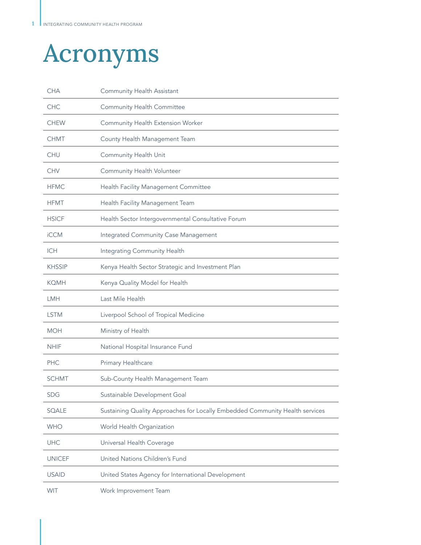# Acronyms

| <b>CHA</b>    | Community Health Assistant                                                   |
|---------------|------------------------------------------------------------------------------|
| <b>CHC</b>    | Community Health Committee                                                   |
| <b>CHEW</b>   | Community Health Extension Worker                                            |
| <b>CHMT</b>   | County Health Management Team                                                |
| <b>CHU</b>    | Community Health Unit                                                        |
| <b>CHV</b>    | Community Health Volunteer                                                   |
| <b>HFMC</b>   | Health Facility Management Committee                                         |
| <b>HFMT</b>   | Health Facility Management Team                                              |
| <b>HSICF</b>  | Health Sector Intergovernmental Consultative Forum                           |
| <b>iCCM</b>   | Integrated Community Case Management                                         |
| <b>ICH</b>    | Integrating Community Health                                                 |
| <b>KHSSIP</b> | Kenya Health Sector Strategic and Investment Plan                            |
| <b>KOMH</b>   | Kenya Quality Model for Health                                               |
|               |                                                                              |
| <b>LMH</b>    | Last Mile Health                                                             |
| <b>LSTM</b>   | Liverpool School of Tropical Medicine                                        |
| <b>MOH</b>    | Ministry of Health                                                           |
| <b>NHIF</b>   | National Hospital Insurance Fund                                             |
| <b>PHC</b>    | Primary Healthcare                                                           |
| <b>SCHMT</b>  | Sub-County Health Management Team                                            |
| <b>SDG</b>    | Sustainable Development Goal                                                 |
| SQALE         | Sustaining Quality Approaches for Locally Embedded Community Health services |
| <b>WHO</b>    | World Health Organization                                                    |
| <b>UHC</b>    | Universal Health Coverage                                                    |
| <b>UNICEF</b> | United Nations Children's Fund                                               |
| <b>USAID</b>  | United States Agency for International Development                           |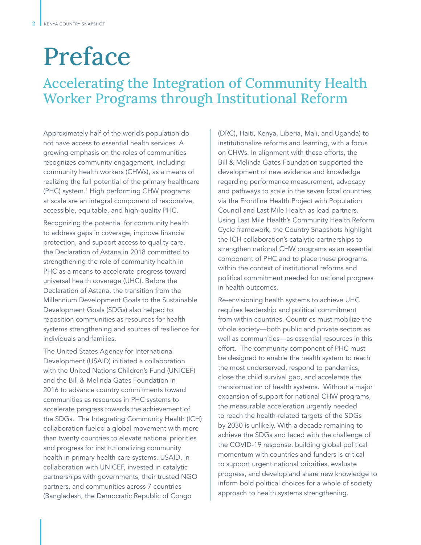# Preface

# Accelerating the Integration of Community Health Worker Programs through Institutional Reform

Approximately half of the world's population do not have access to essential health services. A growing emphasis on the roles of communities recognizes community engagement, including community health workers (CHWs), as a means of realizing the full potential of the primary healthcare (PHC) system.<sup>1</sup> High performing CHW programs at scale are an integral component of responsive, accessible, equitable, and high-quality PHC.

Recognizing the potential for community health to address gaps in coverage, improve financial protection, and support access to quality care, the Declaration of Astana in 2018 committed to strengthening the role of community health in PHC as a means to accelerate progress toward universal health coverage (UHC). Before the Declaration of Astana, the transition from the Millennium Development Goals to the Sustainable Development Goals (SDGs) also helped to reposition communities as resources for health systems strengthening and sources of resilience for individuals and families.

The United States Agency for International Development (USAID) initiated a collaboration with the United Nations Children's Fund (UNICEF) and the Bill & Melinda Gates Foundation in 2016 to advance country commitments toward communities as resources in PHC systems to accelerate progress towards the achievement of the SDGs. The Integrating Community Health (ICH) collaboration fueled a global movement with more than twenty countries to elevate national priorities and progress for institutionalizing community health in primary health care systems. USAID, in collaboration with UNICEF, invested in catalytic partnerships with governments, their trusted NGO partners, and communities across 7 countries (Bangladesh, the Democratic Republic of Congo

(DRC), Haiti, Kenya, Liberia, Mali, and Uganda) to institutionalize reforms and learning, with a focus on CHWs. In alignment with these efforts, the Bill & Melinda Gates Foundation supported the development of new evidence and knowledge regarding performance measurement, advocacy and pathways to scale in the seven focal countries via the Frontline Health Project with Population Council and Last Mile Health as lead partners. Using Last Mile Health's Community Health Reform Cycle framework, the Country Snapshots highlight the ICH collaboration's catalytic partnerships to strengthen national CHW programs as an essential component of PHC and to place these programs within the context of institutional reforms and political commitment needed for national progress in health outcomes.

Re-envisioning health systems to achieve UHC requires leadership and political commitment from within countries. Countries must mobilize the whole society—both public and private sectors as well as communities—as essential resources in this effort. The community component of PHC must be designed to enable the health system to reach the most underserved, respond to pandemics, close the child survival gap, and accelerate the transformation of health systems. Without a major expansion of support for national CHW programs, the measurable acceleration urgently needed to reach the health-related targets of the SDGs by 2030 is unlikely. With a decade remaining to achieve the SDGs and faced with the challenge of the COVID-19 response, building global political momentum with countries and funders is critical to support urgent national priorities, evaluate progress, and develop and share new knowledge to inform bold political choices for a whole of society approach to health systems strengthening.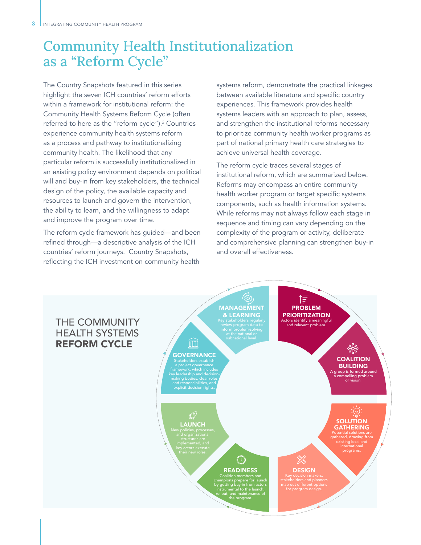# Community Health Institutionalization as a "Reform Cycle"

The Country Snapshots featured in this series highlight the seven ICH countries' reform efforts within a framework for institutional reform: the Community Health Systems Reform Cycle (often referred to here as the "reform cycle").<sup>2</sup> Countries experience community health systems reform as a process and pathway to institutionalizing community health. The likelihood that any particular reform is successfully institutionalized in an existing policy environment depends on political will and buy-in from key stakeholders, the technical design of the policy, the available capacity and resources to launch and govern the intervention, the ability to learn, and the willingness to adapt and improve the program over time.

The reform cycle framework has guided—and been refined through—a descriptive analysis of the ICH countries' reform journeys. Country Snapshots, reflecting the ICH investment on community health

systems reform, demonstrate the practical linkages between available literature and specific country experiences. This framework provides health systems leaders with an approach to plan, assess, and strengthen the institutional reforms necessary to prioritize community health worker programs as part of national primary health care strategies to achieve universal health coverage.

The reform cycle traces several stages of institutional reform, which are summarized below. Reforms may encompass an entire community health worker program or target specific systems components, such as health information systems. While reforms may not always follow each stage in sequence and timing can vary depending on the complexity of the program or activity, deliberate and comprehensive planning can strengthen buy-in and overall effectiveness.

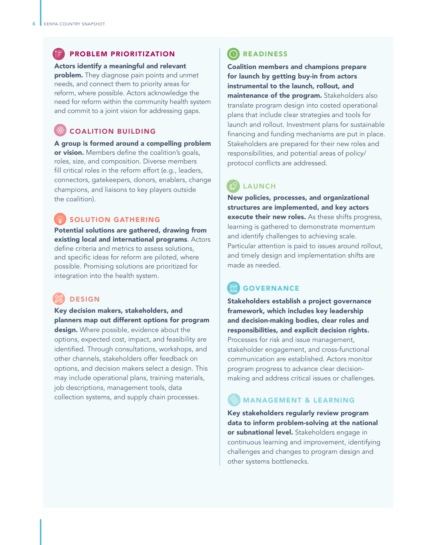#### PROBLEM PRIORITIZATION

Actors identify a meaningful and relevant problem. They diagnose pain points and unmet needs, and connect them to priority areas for reform, where possible. Actors acknowledge the need for reform within the community health system and commit to a joint vision for addressing gaps.

## COALITION BUILDING

A group is formed around a compelling problem or vision. Members define the coalition's goals, roles, size, and composition. Diverse members fill critical roles in the reform effort (e.g., leaders, connectors, gatekeepers, donors, enablers, change champions, and liaisons to key players outside the coalition).

### SOLUTION GATHERING

Potential solutions are gathered, drawing from existing local and international programs. Actors define criteria and metrics to assess solutions, and specific ideas for reform are piloted, where possible. Promising solutions are prioritized for integration into the health system.

## DESIGN

Key decision makers, stakeholders, and planners map out different options for program design. Where possible, evidence about the options, expected cost, impact, and feasibility are identified. Through consultations, workshops, and other channels, stakeholders offer feedback on options, and decision makers select a design. This may include operational plans, training materials, job descriptions, management tools, data collection systems, and supply chain processes.

## **C**READINESS

Coalition members and champions prepare for launch by getting buy-in from actors instrumental to the launch, rollout, and maintenance of the program. Stakeholders also translate program design into costed operational plans that include clear strategies and tools for launch and rollout. Investment plans for sustainable financing and funding mechanisms are put in place. Stakeholders are prepared for their new roles and responsibilities, and potential areas of policy/ protocol conflicts are addressed.

## LAUNCH

New policies, processes, and organizational structures are implemented, and key actors execute their new roles. As these shifts progress, learning is gathered to demonstrate momentum and identify challenges to achieving scale. Particular attention is paid to issues around rollout, and timely design and implementation shifts are made as needed.

## GOVERNANCE

Stakeholders establish a project governance framework, which includes key leadership and decision-making bodies, clear roles and responsibilities, and explicit decision rights. Processes for risk and issue management, stakeholder engagement, and cross-functional communication are established. Actors monitor program progress to advance clear decisionmaking and address critical issues or challenges.

## MANAGEMENT & LEARNING

Key stakeholders regularly review program data to inform problem-solving at the national or subnational level. Stakeholders engage in continuous learning and improvement, identifying challenges and changes to program design and other systems bottlenecks.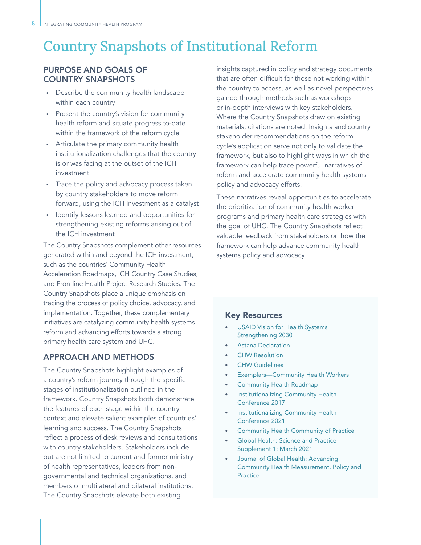# Country Snapshots of Institutional Reform

### PURPOSE AND GOALS OF COUNTRY SNAPSHOTS

- Describe the community health landscape within each country
- Present the country's vision for community health reform and situate progress to-date within the framework of the reform cycle
- Articulate the primary community health institutionalization challenges that the country is or was facing at the outset of the ICH investment
- Trace the policy and advocacy process taken by country stakeholders to move reform forward, using the ICH investment as a catalyst
- Identify lessons learned and opportunities for strengthening existing reforms arising out of the ICH investment

The Country Snapshots complement other resources generated within and beyond the ICH investment, such as the countries' Community Health Acceleration Roadmaps, ICH Country Case Studies, and Frontline Health Project Research Studies. The Country Snapshots place a unique emphasis on tracing the process of policy choice, advocacy, and implementation. Together, these complementary initiatives are catalyzing community health systems reform and advancing efforts towards a strong primary health care system and UHC.

### APPROACH AND METHODS

The Country Snapshots highlight examples of a country's reform journey through the specific stages of institutionalization outlined in the framework. Country Snapshots both demonstrate the features of each stage within the country context and elevate salient examples of countries' learning and success. The Country Snapshots reflect a process of desk reviews and consultations with country stakeholders. Stakeholders include but are not limited to current and former ministry of health representatives, leaders from nongovernmental and technical organizations, and members of multilateral and bilateral institutions. The Country Snapshots elevate both existing

insights captured in policy and strategy documents that are often difficult for those not working within the country to access, as well as novel perspectives gained through methods such as workshops or in-depth interviews with key stakeholders. Where the Country Snapshots draw on existing materials, citations are noted. Insights and country stakeholder recommendations on the reform cycle's application serve not only to validate the framework, but also to highlight ways in which the framework can help trace powerful narratives of reform and accelerate community health systems policy and advocacy efforts.

These narratives reveal opportunities to accelerate the prioritization of community health worker programs and primary health care strategies with the goal of UHC. The Country Snapshots reflect valuable feedback from stakeholders on how the framework can help advance community health systems policy and advocacy.

### Key Resources

- USAID Vision for Health Systems Strengthening 2030
- Astana Declaration
- CHW Resolution
- **CHW Guidelines**
- Exemplars-Community Health Workers
- Community Health Roadmap
- Institutionalizing Community Health Conference 2017
- Institutionalizing Community Health Conference 2021
- Community Health Community of Practice
- Global Health: Science and Practice Supplement 1: March 2021
- Journal of Global Health: Advancing Community Health Measurement, Policy and Practice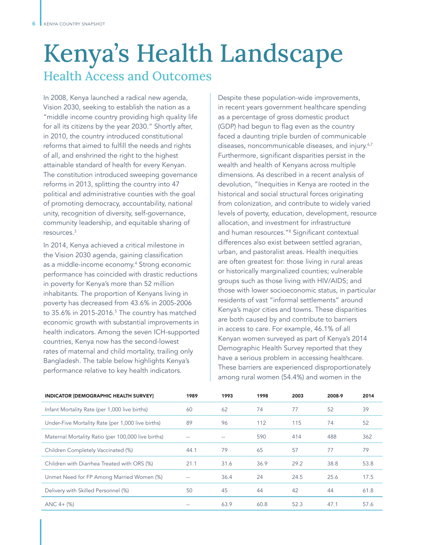# Kenya's Health Landscape Health Access and Outcomes

In 2008, Kenya launched a radical new agenda, Vision 2030, seeking to establish the nation as a "middle income country providing high quality life for all its citizens by the year 2030." Shortly after, in 2010, the country introduced constitutional reforms that aimed to fulfill the needs and rights of all, and enshrined the right to the highest attainable standard of health for every Kenyan. The constitution introduced sweeping governance reforms in 2013, splitting the country into 47 political and administrative counties with the goal of promoting democracy, accountability, national unity, recognition of diversity, self-governance, community leadership, and equitable sharing of resources.<sup>3</sup>

In 2014, Kenya achieved a critical milestone in the Vision 2030 agenda, gaining classification as a middle-income economy.<sup>4</sup> Strong economic performance has coincided with drastic reductions in poverty for Kenya's more than 52 million inhabitants. The proportion of Kenyans living in poverty has decreased from 43.6% in 2005-2006 to 35.6% in 2015-2016.<sup>5</sup> The country has matched economic growth with substantial improvements in health indicators. Among the seven ICH-supported countries, Kenya now has the second-lowest rates of maternal and child mortality, trailing only Bangladesh. The table below highlights Kenya's performance relative to key health indicators.

Despite these population-wide improvements, in recent years government healthcare spending as a percentage of gross domestic product (GDP) had begun to flag even as the country faced a daunting triple burden of communicable diseases, noncommunicable diseases, and injury.<sup>6,7</sup> Furthermore, significant disparities persist in the wealth and health of Kenyans across multiple dimensions. As described in a recent analysis of devolution, "Inequities in Kenya are rooted in the historical and social structural forces originating from colonization, and contribute to widely varied levels of poverty, education, development, resource allocation, and investment for infrastructure and human resources."8 Significant contextual differences also exist between settled agrarian, urban, and pastoralist areas. Health inequities are often greatest for: those living in rural areas or historically marginalized counties; vulnerable groups such as those living with HIV/AIDS; and those with lower socioeconomic status, in particular residents of vast "informal settlements" around Kenya's major cities and towns. These disparities are both caused by and contribute to barriers in access to care. For example, 46.1% of all Kenyan women surveyed as part of Kenya's 2014 Demographic Health Survey reported that they have a serious problem in accessing healthcare. These barriers are experienced disproportionately among rural women (54.4%) and women in the

| <b>INDICATOR [DEMOGRAPHIC HEALTH SURVEY]</b>       | 1989 | 1993 | 1998 | 2003 | 2008-9 | 2014 |
|----------------------------------------------------|------|------|------|------|--------|------|
| Infant Mortality Rate (per 1,000 live births)      | 60   | 62   | 74   | 77   | 52     | 39   |
| Under-Five Mortality Rate (per 1,000 live births)  | 89   | 96   | 112  | 115  | 74     | 52   |
| Maternal Mortality Ratio (per 100,000 live births) |      |      | 590  | 414  | 488    | 362  |
| Children Completely Vaccinated (%)                 | 44.1 | 79   | 65   | 57   | 77     | 79   |
| Children with Diarrhea Treated with ORS (%)        | 21.1 | 31.6 | 36.9 | 29.2 | 38.8   | 53.8 |
| Unmet Need for FP Among Married Women (%)          |      | 36.4 | 24   | 24.5 | 25.6   | 17.5 |
| Delivery with Skilled Personnel (%)                | 50   | 45   | 44   | 42   | 44     | 61.8 |
| $ANC 4 + (%)$                                      |      | 63.9 | 60.8 | 52.3 | 47.1   | 57.6 |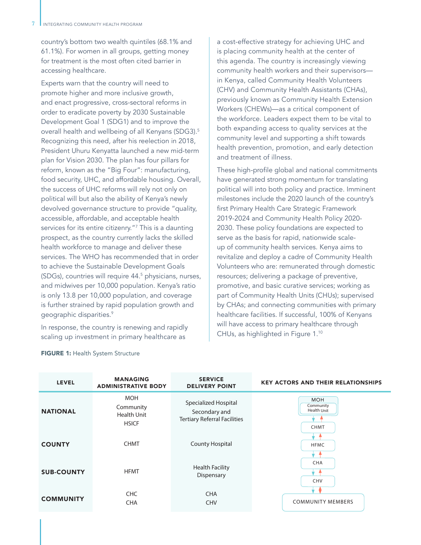country's bottom two wealth quintiles (68.1% and 61.1%). For women in all groups, getting money for treatment is the most often cited barrier in accessing healthcare.

Experts warn that the country will need to promote higher and more inclusive growth, and enact progressive, cross-sectoral reforms in order to eradicate poverty by 2030 Sustainable Development Goal 1 (SDG1) and to improve the overall health and wellbeing of all Kenyans (SDG3).5 Recognizing this need, after his reelection in 2018, President Uhuru Kenyatta launched a new mid-term plan for Vision 2030. The plan has four pillars for reform, known as the "Big Four": manufacturing, food security, UHC, and affordable housing. Overall, the success of UHC reforms will rely not only on political will but also the ability of Kenya's newly devolved governance structure to provide "quality, accessible, affordable, and acceptable health services for its entire citizenry."7 This is a daunting prospect, as the country currently lacks the skilled health workforce to manage and deliver these services. The WHO has recommended that in order to achieve the Sustainable Development Goals (SDGs), countries will require 44.5 physicians, nurses, and midwives per 10,000 population. Kenya's ratio is only 13.8 per 10,000 population, and coverage is further strained by rapid population growth and geographic disparities.9

In response, the country is renewing and rapidly scaling up investment in primary healthcare as

a cost-effective strategy for achieving UHC and is placing community health at the center of this agenda. The country is increasingly viewing community health workers and their supervisors in Kenya, called Community Health Volunteers (CHV) and Community Health Assistants (CHAs), previously known as Community Health Extension Workers (CHEWs)—as a critical component of the workforce. Leaders expect them to be vital to both expanding access to quality services at the community level and supporting a shift towards health prevention, promotion, and early detection and treatment of illness.

These high-profile global and national commitments have generated strong momentum for translating political will into both policy and practice. Imminent milestones include the 2020 launch of the country's first Primary Health Care Strategic Framework 2019-2024 and Community Health Policy 2020- 2030. These policy foundations are expected to serve as the basis for rapid, nationwide scaleup of community health services. Kenya aims to revitalize and deploy a cadre of Community Health Volunteers who are: remunerated through domestic resources; delivering a package of preventive, promotive, and basic curative services; working as part of Community Health Units (CHUs); supervised by CHAs; and connecting communities with primary healthcare facilities. If successful, 100% of Kenyans will have access to primary healthcare through CHUs, as highlighted in Figure 1.10

| <b>LEVEL</b>      | <b>MANAGING</b><br><b>ADMINISTRATIVE BODY</b>          | <b>SERVICE</b><br><b>DELIVERY POINT</b>                                      | <b>KEY ACTORS AND THEIR RELATIONSHIPS</b>             |  |  |  |
|-------------------|--------------------------------------------------------|------------------------------------------------------------------------------|-------------------------------------------------------|--|--|--|
| <b>NATIONAL</b>   | <b>MOH</b><br>Community<br>Health Unit<br><b>HSICF</b> | Specialized Hospital<br>Secondary and<br><b>Tertiary Referral Facilities</b> | <b>MOH</b><br>Community<br>Health Unit<br><b>CHMT</b> |  |  |  |
| <b>COUNTY</b>     | <b>CHMT</b>                                            | <b>County Hospital</b>                                                       | <b>HFMC</b>                                           |  |  |  |
| <b>SUB-COUNTY</b> | <b>HFMT</b>                                            | <b>Health Facility</b><br>Dispensary                                         | CHA<br>CHV                                            |  |  |  |
| <b>COMMUNITY</b>  | <b>CHC</b><br><b>CHA</b>                               | <b>CHA</b><br><b>CHV</b>                                                     | <b>COMMUNITY MEMBERS</b>                              |  |  |  |

#### FIGURE 1: Health System Structure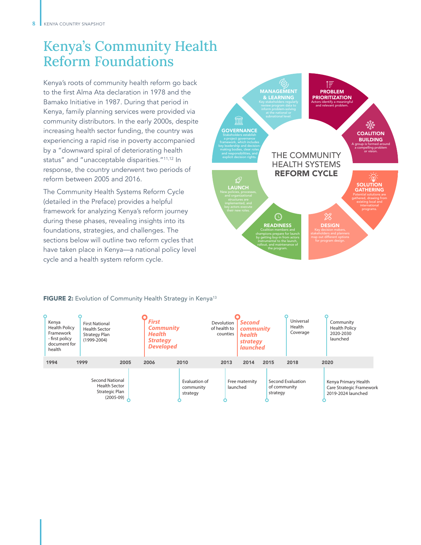# Kenya's Community Health Reform Foundations

Kenya's roots of community health reform go back to the first Alma Ata declaration in 1978 and the Bamako Initiative in 1987. During that period in Kenya, family planning services were provided via community distributors. In the early 2000s, despite increasing health sector funding, the country was experiencing a rapid rise in poverty accompanied by a "downward spiral of deteriorating health status" and "unacceptable disparities."11,12 In response, the country underwent two periods of reform between 2005 and 2016.

The Community Health Systems Reform Cycle (detailed in the Preface) provides a helpful framework for analyzing Kenya's reform journey during these phases, revealing insights into its foundations, strategies, and challenges. The sections below will outline two reform cycles that have taken place in Kenya—a national policy level cycle and a health system reform cycle.



#### FIGURE 2: Evolution of Community Health Strategy in Kenya<sup>13</sup>

| Kenya<br><b>Health Policy</b><br>Framework<br>- first policy<br>document for<br>health | <b>First National</b><br><b>Health Sector</b><br><b>Strategy Plan</b><br>$(1999 - 2004)$ |      | <b>First</b><br><b>Community</b><br><b>Health</b><br><b>Strategy</b><br><b>Developed</b> |                                        | Devolution<br>of health to<br>counties | <b>Second</b><br>community<br><b>health</b><br><b>strategy</b><br><b>launched</b> |                          | Universal<br>Health<br>Coverage | Community<br><b>Health Policy</b><br>2020-2030<br>launched             |
|----------------------------------------------------------------------------------------|------------------------------------------------------------------------------------------|------|------------------------------------------------------------------------------------------|----------------------------------------|----------------------------------------|-----------------------------------------------------------------------------------|--------------------------|---------------------------------|------------------------------------------------------------------------|
| 1994                                                                                   | 1999                                                                                     | 2005 | 2006                                                                                     | 2010                                   | 2013                                   | 2014                                                                              | 2015                     | 2018                            | 2020                                                                   |
|                                                                                        | <b>Second National</b><br><b>Health Sector</b><br>Strategic Plan<br>$(2005-09)$          |      |                                                                                          | Evaluation of<br>community<br>strategy |                                        | Free maternity<br>launched                                                        | of community<br>strategy | Second Evaluation               | Kenya Primary Health<br>Care Strategic Framework<br>2019-2024 launched |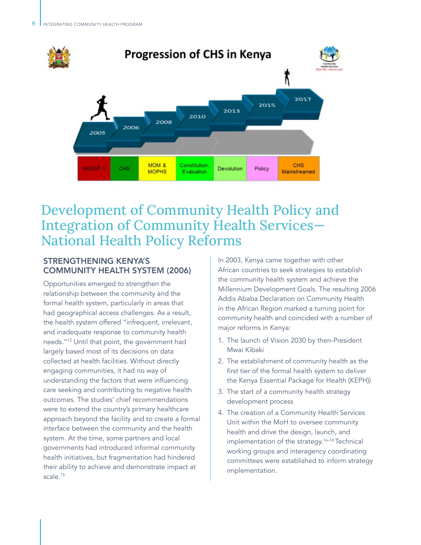

# Development of Community Health Policy and Integration of Community Health Services— National Health Policy Reforms

## STRENGTHENING KENYA'S COMMUNITY HEALTH SYSTEM (2006)

Opportunities emerged to strengthen the relationship between the community and the formal health system, particularly in areas that had geographical access challenges. As a result, the health system offered "infrequent, irrelevant, and inadequate response to community health needs."12 Until that point, the government had largely based most of its decisions on data collected at health facilities. Without directly engaging communities, it had no way of understanding the factors that were influencing care seeking and contributing to negative health outcomes. The studies' chief recommendations were to extend the country's primary healthcare approach beyond the facility and to create a formal interface between the community and the health system. At the time, some partners and local governments had introduced informal community health initiatives, but fragmentation had hindered their ability to achieve and demonstrate impact at scale.<sup>15</sup>

In 2003, Kenya came together with other African countries to seek strategies to establish the community health system and achieve the Millennium Development Goals. The resulting 2006 Addis Ababa Declaration on Community Health in the African Region marked a turning point for community health and coincided with a number of major reforms in Kenya:

- 1. The launch of Vision 2030 by then-President Mwai Kibaki
- 2. The establishment of community health as the first tier of the formal health system to deliver the Kenya Essential Package for Health (KEPH))
- 3. The start of a community health strategy development process
- 4. The creation of a Community Health Services Unit within the MoH to oversee community health and drive the design, launch, and implementation of the strategy.16–18 Technical working groups and interagency coordinating committees were established to inform strategy implementation.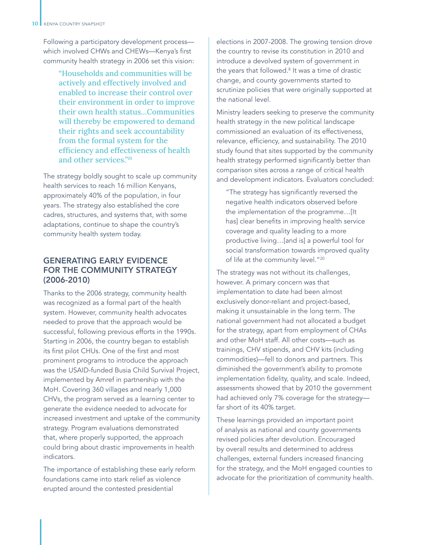Following a participatory development process which involved CHWs and CHEWs—Kenya's first community health strategy in 2006 set this vision:

> "Households and communities will be actively and effectively involved and enabled to increase their control over their environment in order to improve their own health status…Communities will thereby be empowered to demand their rights and seek accountability from the formal system for the efficiency and effectiveness of health and other services."19

The strategy boldly sought to scale up community health services to reach 16 million Kenyans, approximately 40% of the population, in four years. The strategy also established the core cadres, structures, and systems that, with some adaptations, continue to shape the country's community health system today.

### GENERATING EARLY EVIDENCE FOR THE COMMUNITY STRATEGY (2006-2010)

Thanks to the 2006 strategy, community health was recognized as a formal part of the health system. However, community health advocates needed to prove that the approach would be successful, following previous efforts in the 1990s. Starting in 2006, the country began to establish its first pilot CHUs. One of the first and most prominent programs to introduce the approach was the USAID-funded Busia Child Survival Project, implemented by Amref in partnership with the MoH. Covering 360 villages and nearly 1,000 CHVs, the program served as a learning center to generate the evidence needed to advocate for increased investment and uptake of the community strategy. Program evaluations demonstrated that, where properly supported, the approach could bring about drastic improvements in health indicators.

The importance of establishing these early reform foundations came into stark relief as violence erupted around the contested presidential

elections in 2007-2008. The growing tension drove the country to revise its constitution in 2010 and introduce a devolved system of government in the years that followed.<sup>8</sup> It was a time of drastic change, and county governments started to scrutinize policies that were originally supported at the national level.

Ministry leaders seeking to preserve the community health strategy in the new political landscape commissioned an evaluation of its effectiveness, relevance, efficiency, and sustainability. The 2010 study found that sites supported by the community health strategy performed significantly better than comparison sites across a range of critical health and development indicators. Evaluators concluded:

"The strategy has significantly reversed the negative health indicators observed before the implementation of the programme…[It has] clear benefits in improving health service coverage and quality leading to a more productive living…[and is] a powerful tool for social transformation towards improved quality of life at the community level."20

The strategy was not without its challenges, however. A primary concern was that implementation to date had been almost exclusively donor-reliant and project-based, making it unsustainable in the long term. The national government had not allocated a budget for the strategy, apart from employment of CHAs and other MoH staff. All other costs—such as trainings, CHV stipends, and CHV kits (including commodities)—fell to donors and partners. This diminished the government's ability to promote implementation fidelity, quality, and scale. Indeed, assessments showed that by 2010 the government had achieved only 7% coverage for the strategy far short of its 40% target.

These learnings provided an important point of analysis as national and county governments revised policies after devolution. Encouraged by overall results and determined to address challenges, external funders increased financing for the strategy, and the MoH engaged counties to advocate for the prioritization of community health.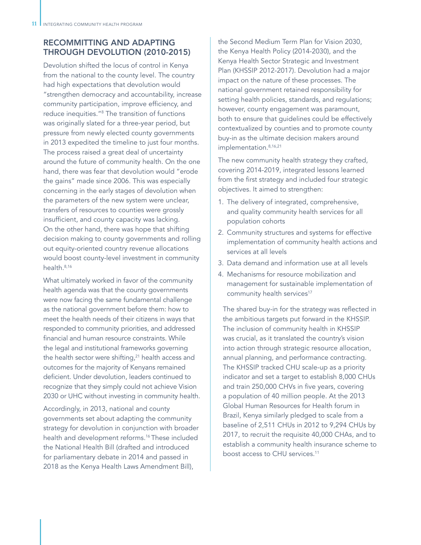## RECOMMITTING AND ADAPTING THROUGH DEVOLUTION (2010-2015)

Devolution shifted the locus of control in Kenya from the national to the county level. The country had high expectations that devolution would "strengthen democracy and accountability, increase community participation, improve efficiency, and reduce inequities."8 The transition of functions was originally slated for a three-year period, but pressure from newly elected county governments in 2013 expedited the timeline to just four months. The process raised a great deal of uncertainty around the future of community health. On the one hand, there was fear that devolution would "erode the gains" made since 2006. This was especially concerning in the early stages of devolution when the parameters of the new system were unclear, transfers of resources to counties were grossly insufficient, and county capacity was lacking. On the other hand, there was hope that shifting decision making to county governments and rolling out equity-oriented country revenue allocations would boost county-level investment in community health 8,16

What ultimately worked in favor of the community health agenda was that the county governments were now facing the same fundamental challenge as the national government before them: how to meet the health needs of their citizens in ways that responded to community priorities, and addressed financial and human resource constraints. While the legal and institutional frameworks governing the health sector were shifting, $21$  health access and outcomes for the majority of Kenyans remained deficient. Under devolution, leaders continued to recognize that they simply could not achieve Vision 2030 or UHC without investing in community health.

Accordingly, in 2013, national and county governments set about adapting the community strategy for devolution in conjunction with broader health and development reforms.<sup>16</sup> These included the National Health Bill (drafted and introduced for parliamentary debate in 2014 and passed in 2018 as the Kenya Health Laws Amendment Bill),

the Second Medium Term Plan for Vision 2030, the Kenya Health Policy (2014-2030), and the Kenya Health Sector Strategic and Investment Plan (KHSSIP 2012-2017). Devolution had a major impact on the nature of these processes. The national government retained responsibility for setting health policies, standards, and regulations; however, county engagement was paramount, both to ensure that guidelines could be effectively contextualized by counties and to promote county buy-in as the ultimate decision makers around implementation.<sup>8,16,21</sup>

The new community health strategy they crafted, covering 2014-2019, integrated lessons learned from the first strategy and included four strategic objectives. It aimed to strengthen:

- 1. The delivery of integrated, comprehensive, and quality community health services for all population cohorts
- 2. Community structures and systems for effective implementation of community health actions and services at all levels
- 3. Data demand and information use at all levels
- 4. Mechanisms for resource mobilization and management for sustainable implementation of community health services<sup>17</sup>

The shared buy-in for the strategy was reflected in the ambitious targets put forward in the KHSSIP. The inclusion of community health in KHSSIP was crucial, as it translated the country's vision into action through strategic resource allocation, annual planning, and performance contracting. The KHSSIP tracked CHU scale-up as a priority indicator and set a target to establish 8,000 CHUs and train 250,000 CHVs in five years, covering a population of 40 million people. At the 2013 Global Human Resources for Health forum in Brazil, Kenya similarly pledged to scale from a baseline of 2,511 CHUs in 2012 to 9,294 CHUs by 2017, to recruit the requisite 40,000 CHAs, and to establish a community health insurance scheme to boost access to CHU services.<sup>11</sup>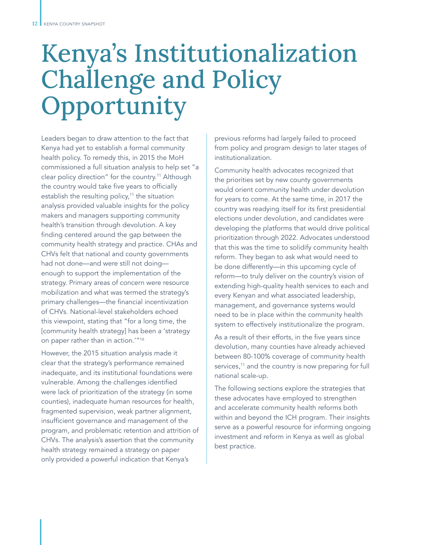# Kenya's Institutionalization Challenge and Policy Opportunity

Leaders began to draw attention to the fact that Kenya had yet to establish a formal community health policy. To remedy this, in 2015 the MoH commissioned a full situation analysis to help set "a clear policy direction" for the country.<sup>11</sup> Although the country would take five years to officially establish the resulting policy, $11$  the situation analysis provided valuable insights for the policy makers and managers supporting community health's transition through devolution. A key finding centered around the gap between the community health strategy and practice. CHAs and CHVs felt that national and county governments had not done—and were still not doing enough to support the implementation of the strategy. Primary areas of concern were resource mobilization and what was termed the strategy's primary challenges—the financial incentivization of CHVs. National-level stakeholders echoed this viewpoint, stating that "for a long time, the [community health strategy] has been a 'strategy on paper rather than in action.'"16

However, the 2015 situation analysis made it clear that the strategy's performance remained inadequate, and its institutional foundations were vulnerable. Among the challenges identified were lack of prioritization of the strategy (in some counties), inadequate human resources for health, fragmented supervision, weak partner alignment, insufficient governance and management of the program, and problematic retention and attrition of CHVs. The analysis's assertion that the community health strategy remained a strategy on paper only provided a powerful indication that Kenya's

previous reforms had largely failed to proceed from policy and program design to later stages of institutionalization.

Community health advocates recognized that the priorities set by new county governments would orient community health under devolution for years to come. At the same time, in 2017 the country was readying itself for its first presidential elections under devolution, and candidates were developing the platforms that would drive political prioritization through 2022. Advocates understood that this was the time to solidify community health reform. They began to ask what would need to be done differently—in this upcoming cycle of reform—to truly deliver on the country's vision of extending high-quality health services to each and every Kenyan and what associated leadership, management, and governance systems would need to be in place within the community health system to effectively institutionalize the program.

As a result of their efforts, in the five years since devolution, many counties have already achieved between 80-100% coverage of community health services,<sup>11</sup> and the country is now preparing for full national scale-up.

The following sections explore the strategies that these advocates have employed to strengthen and accelerate community health reforms both within and beyond the ICH program. Their insights serve as a powerful resource for informing ongoing investment and reform in Kenya as well as global best practice.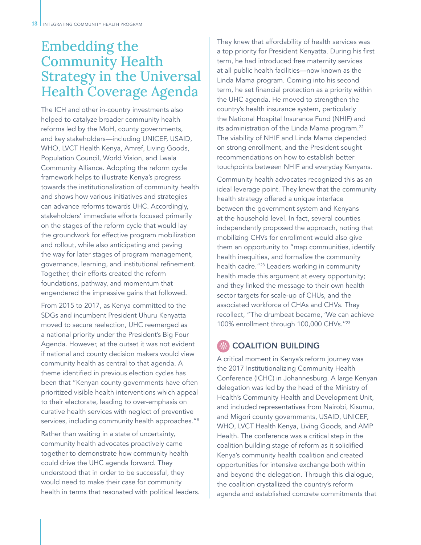# Embedding the Community Health Strategy in the Universal Health Coverage Agenda

The ICH and other in-country investments also helped to catalyze broader community health reforms led by the MoH, county governments, and key stakeholders—including UNICEF, USAID, WHO, LVCT Health Kenya, Amref, Living Goods, Population Council, World Vision, and Lwala Community Alliance. Adopting the reform cycle framework helps to illustrate Kenya's progress towards the institutionalization of community health and shows how various initiatives and strategies can advance reforms towards UHC. Accordingly, stakeholders' immediate efforts focused primarily on the stages of the reform cycle that would lay the groundwork for effective program mobilization and rollout, while also anticipating and paving the way for later stages of program management, governance, learning, and institutional refinement. Together, their efforts created the reform foundations, pathway, and momentum that engendered the impressive gains that followed.

From 2015 to 2017, as Kenya committed to the SDGs and incumbent President Uhuru Kenyatta moved to secure reelection, UHC reemerged as a national priority under the President's Big Four Agenda. However, at the outset it was not evident if national and county decision makers would view community health as central to that agenda. A theme identified in previous election cycles has been that "Kenyan county governments have often prioritized visible health interventions which appeal to their electorate, leading to over-emphasis on curative health services with neglect of preventive services, including community health approaches."<sup>8</sup>

Rather than waiting in a state of uncertainty, community health advocates proactively came together to demonstrate how community health could drive the UHC agenda forward. They understood that in order to be successful, they would need to make their case for community health in terms that resonated with political leaders.

They knew that affordability of health services was a top priority for President Kenyatta. During his first term, he had introduced free maternity services at all public health facilities—now known as the Linda Mama program. Coming into his second term, he set financial protection as a priority within the UHC agenda. He moved to strengthen the country's health insurance system, particularly the National Hospital Insurance Fund (NHIF) and its administration of the Linda Mama program.<sup>22</sup> The viability of NHIF and Linda Mama depended on strong enrollment, and the President sought recommendations on how to establish better touchpoints between NHIF and everyday Kenyans.

Community health advocates recognized this as an ideal leverage point. They knew that the community health strategy offered a unique interface between the government system and Kenyans at the household level. In fact, several counties independently proposed the approach, noting that mobilizing CHVs for enrollment would also give them an opportunity to "map communities, identify health inequities, and formalize the community health cadre."23 Leaders working in community health made this argument at every opportunity; and they linked the message to their own health sector targets for scale-up of CHUs, and the associated workforce of CHAs and CHVs. They recollect, "The drumbeat became, 'We can achieve 100% enrollment through 100,000 CHVs.''23

## COALITION BUILDING

A critical moment in Kenya's reform journey was the 2017 Institutionalizing Community Health Conference (ICHC) in Johannesburg. A large Kenyan delegation was led by the head of the Ministry of Health's Community Health and Development Unit, and included representatives from Nairobi, Kisumu, and Migori county governments, USAID, UNICEF, WHO, LVCT Health Kenya, Living Goods, and AMP Health. The conference was a critical step in the coalition building stage of reform as it solidified Kenya's community health coalition and created opportunities for intensive exchange both within and beyond the delegation. Through this dialogue, the coalition crystallized the country's reform agenda and established concrete commitments that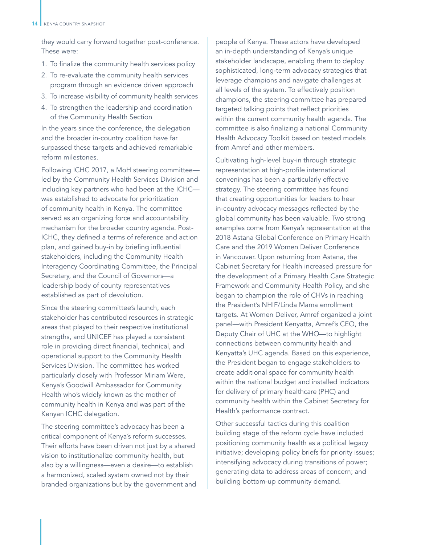they would carry forward together post-conference. These were:

- 1. To finalize the community health services policy
- 2. To re-evaluate the community health services program through an evidence driven approach
- 3. To increase visibility of community health services
- 4. To strengthen the leadership and coordination of the Community Health Section

In the years since the conference, the delegation and the broader in-country coalition have far surpassed these targets and achieved remarkable reform milestones.

Following ICHC 2017, a MoH steering committee led by the Community Health Services Division and including key partners who had been at the ICHC was established to advocate for prioritization of community health in Kenya. The committee served as an organizing force and accountability mechanism for the broader country agenda. Post-ICHC, they defined a terms of reference and action plan, and gained buy-in by briefing influential stakeholders, including the Community Health Interagency Coordinating Committee, the Principal Secretary, and the Council of Governors—a leadership body of county representatives established as part of devolution.

Since the steering committee's launch, each stakeholder has contributed resources in strategic areas that played to their respective institutional strengths, and UNICEF has played a consistent role in providing direct financial, technical, and operational support to the Community Health Services Division. The committee has worked particularly closely with Professor Miriam Were, Kenya's Goodwill Ambassador for Community Health who's widely known as the mother of community health in Kenya and was part of the Kenyan ICHC delegation.

The steering committee's advocacy has been a critical component of Kenya's reform successes. Their efforts have been driven not just by a shared vision to institutionalize community health, but also by a willingness—even a desire—to establish a harmonized, scaled system owned not by their branded organizations but by the government and

people of Kenya. These actors have developed an in-depth understanding of Kenya's unique stakeholder landscape, enabling them to deploy sophisticated, long-term advocacy strategies that leverage champions and navigate challenges at all levels of the system. To effectively position champions, the steering committee has prepared targeted talking points that reflect priorities within the current community health agenda. The committee is also finalizing a national Community Health Advocacy Toolkit based on tested models from Amref and other members.

Cultivating high-level buy-in through strategic representation at high-profile international convenings has been a particularly effective strategy. The steering committee has found that creating opportunities for leaders to hear in-country advocacy messages reflected by the global community has been valuable. Two strong examples come from Kenya's representation at the 2018 Astana Global Conference on Primary Health Care and the 2019 Women Deliver Conference in Vancouver. Upon returning from Astana, the Cabinet Secretary for Health increased pressure for the development of a Primary Health Care Strategic Framework and Community Health Policy, and she began to champion the role of CHVs in reaching the President's NHIF/Linda Mama enrollment targets. At Women Deliver, Amref organized a joint panel—with President Kenyatta, Amref's CEO, the Deputy Chair of UHC at the WHO—to highlight connections between community health and Kenyatta's UHC agenda. Based on this experience, the President began to engage stakeholders to create additional space for community health within the national budget and installed indicators for delivery of primary healthcare (PHC) and community health within the Cabinet Secretary for Health's performance contract.

Other successful tactics during this coalition building stage of the reform cycle have included positioning community health as a political legacy initiative; developing policy briefs for priority issues; intensifying advocacy during transitions of power; generating data to address areas of concern; and building bottom-up community demand.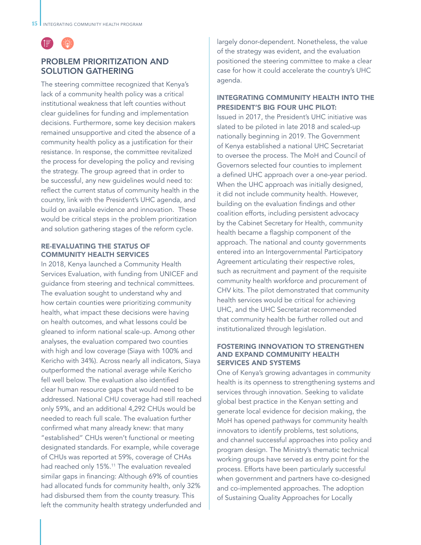

### PROBLEM PRIORITIZATION AND SOLUTION GATHERING

The steering committee recognized that Kenya's lack of a community health policy was a critical institutional weakness that left counties without clear guidelines for funding and implementation decisions. Furthermore, some key decision makers remained unsupportive and cited the absence of a community health policy as a justification for their resistance. In response, the committee revitalized the process for developing the policy and revising the strategy. The group agreed that in order to be successful, any new guidelines would need to: reflect the current status of community health in the country, link with the President's UHC agenda, and build on available evidence and innovation. These would be critical steps in the problem prioritization and solution gathering stages of the reform cycle.

#### RE-EVALUATING THE STATUS OF COMMUNITY HEALTH SERVICES

In 2018, Kenya launched a Community Health Services Evaluation, with funding from UNICEF and guidance from steering and technical committees. The evaluation sought to understand why and how certain counties were prioritizing community health, what impact these decisions were having on health outcomes, and what lessons could be gleaned to inform national scale-up. Among other analyses, the evaluation compared two counties with high and low coverage (Siaya with 100% and Kericho with 34%). Across nearly all indicators, Siaya outperformed the national average while Kericho fell well below. The evaluation also identified clear human resource gaps that would need to be addressed. National CHU coverage had still reached only 59%, and an additional 4,292 CHUs would be needed to reach full scale. The evaluation further confirmed what many already knew: that many "established" CHUs weren't functional or meeting designated standards. For example, while coverage of CHUs was reported at 59%, coverage of CHAs had reached only 15%.<sup>11</sup> The evaluation revealed similar gaps in financing: Although 69% of counties had allocated funds for community health, only 32% had disbursed them from the county treasury. This left the community health strategy underfunded and

largely donor-dependent. Nonetheless, the value of the strategy was evident, and the evaluation positioned the steering committee to make a clear case for how it could accelerate the country's UHC agenda.

#### INTEGRATING COMMUNITY HEALTH INTO THE PRESIDENT'S BIG FOUR UHC PILOT:

Issued in 2017, the President's UHC initiative was slated to be piloted in late 2018 and scaled-up nationally beginning in 2019. The Government of Kenya established a national UHC Secretariat to oversee the process. The MoH and Council of Governors selected four counties to implement a defined UHC approach over a one-year period. When the UHC approach was initially designed, it did not include community health. However, building on the evaluation findings and other coalition efforts, including persistent advocacy by the Cabinet Secretary for Health, community health became a flagship component of the approach. The national and county governments entered into an Intergovernmental Participatory Agreement articulating their respective roles, such as recruitment and payment of the requisite community health workforce and procurement of CHV kits. The pilot demonstrated that community health services would be critical for achieving UHC, and the UHC Secretariat recommended that community health be further rolled out and institutionalized through legislation.

#### FOSTERING INNOVATION TO STRENGTHEN AND EXPAND COMMUNITY HEALTH SERVICES AND SYSTEMS

One of Kenya's growing advantages in community health is its openness to strengthening systems and services through innovation. Seeking to validate global best practice in the Kenyan setting and generate local evidence for decision making, the MoH has opened pathways for community health innovators to identify problems, test solutions, and channel successful approaches into policy and program design. The Ministry's thematic technical working groups have served as entry point for the process. Efforts have been particularly successful when government and partners have co-designed and co-implemented approaches. The adoption of Sustaining Quality Approaches for Locally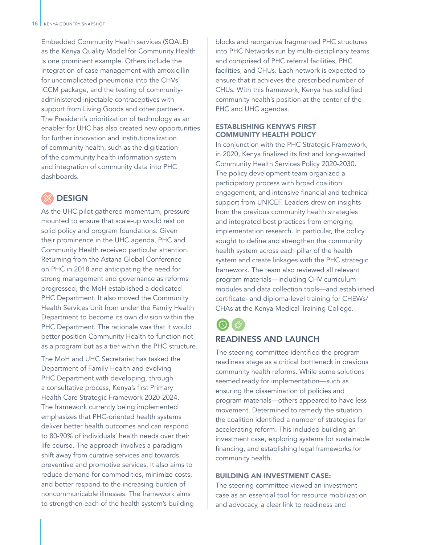Embedded Community Health services (SQALE) as the Kenya Quality Model for Community Health is one prominent example. Others include the integration of case management with amoxicillin for uncomplicated pneumonia into the CHVs' iCCM package, and the testing of communityadministered injectable contraceptives with support from Living Goods and other partners. The President's prioritization of technology as an enabler for UHC has also created new opportunities for further innovation and institutionalization of community health, such as the digitization of the community health information system and integration of community data into PHC dashboards.

# **DESIGN**

As the UHC pilot gathered momentum, pressure mounted to ensure that scale-up would rest on solid policy and program foundations. Given their prominence in the UHC agenda, PHC and Community Health received particular attention. Returning from the Astana Global Conference on PHC in 2018 and anticipating the need for strong management and governance as reforms progressed, the MoH established a dedicated PHC Department. It also moved the Community Health Services Unit from under the Family Health Department to become its own division within the PHC Department. The rationale was that it would better position Community Health to function not as a program but as a tier within the PHC structure.

The MoH and UHC Secretariat has tasked the Department of Family Health and evolving PHC Department with developing, through a consultative process, Kenya's first Primary Health Care Strategic Framework 2020-2024. The framework currently being implemented emphasizes that PHC-oriented health systems deliver better health outcomes and can respond to 80-90% of individuals' health needs over their life course. The approach involves a paradigm shift away from curative services and towards preventive and promotive services. It also aims to reduce demand for commodities, minimize costs, and better respond to the increasing burden of noncommunicable illnesses. The framework aims to strengthen each of the health system's building blocks and reorganize fragmented PHC structures into PHC Networks run by multi-disciplinary teams and comprised of PHC referral facilities, PHC facilities, and CHUs. Each network is expected to ensure that it achieves the prescribed number of CHUs. With this framework, Kenya has solidified community health's position at the center of the PHC and UHC agendas.

#### ESTABLISHING KENYA'S FIRST COMMUNITY HEALTH POLICY

In conjunction with the PHC Strategic Framework, in 2020, Kenya finalized its first and long-awaited Community Health Services Policy 2020-2030. The policy development team organized a participatory process with broad coalition engagement, and intensive financial and technical support from UNICEF. Leaders drew on insights from the previous community health strategies and integrated best practices from emerging implementation research. In particular, the policy sought to define and strengthen the community health system across each pillar of the health system and create linkages with the PHC strategic framework. The team also reviewed all relevant program materials—including CHV curriculum modules and data collection tools—and established certificate- and diploma-level training for CHEWs/ CHAs at the Kenya Medical Training College.



### READINESS AND LAUNCH

The steering committee identified the program readiness stage as a critical bottleneck in previous community health reforms. While some solutions seemed ready for implementation—such as ensuring the dissemination of policies and program materials—others appeared to have less movement. Determined to remedy the situation, the coalition identified a number of strategies for accelerating reform. This included building an investment case, exploring systems for sustainable financing, and establishing legal frameworks for community health.

#### BUILDING AN INVESTMENT CASE:

The steering committee viewed an investment case as an essential tool for resource mobilization and advocacy, a clear link to readiness and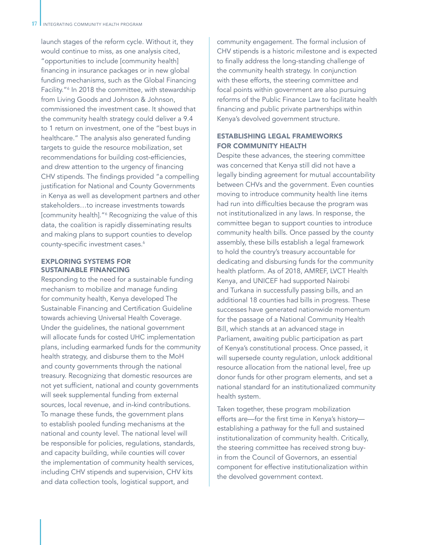launch stages of the reform cycle. Without it, they would continue to miss, as one analysis cited, "opportunities to include [community health] financing in insurance packages or in new global funding mechanisms, such as the Global Financing Facility."6 In 2018 the committee, with stewardship from Living Goods and Johnson & Johnson, commissioned the investment case. It showed that the community health strategy could deliver a 9.4 to 1 return on investment, one of the "best buys in healthcare." The analysis also generated funding targets to guide the resource mobilization, set recommendations for building cost-efficiencies, and drew attention to the urgency of financing CHV stipends. The findings provided "a compelling justification for National and County Governments in Kenya as well as development partners and other stakeholders…to increase investments towards [community health]."<sup>6</sup> Recognizing the value of this data, the coalition is rapidly disseminating results and making plans to support counties to develop county-specific investment cases.<sup>6</sup>

#### EXPLORING SYSTEMS FOR SUSTAINABLE FINANCING

Responding to the need for a sustainable funding mechanism to mobilize and manage funding for community health, Kenya developed The Sustainable Financing and Certification Guideline towards achieving Universal Health Coverage. Under the guidelines, the national government will allocate funds for costed UHC implementation plans, including earmarked funds for the community health strategy, and disburse them to the MoH and county governments through the national treasury. Recognizing that domestic resources are not yet sufficient, national and county governments will seek supplemental funding from external sources, local revenue, and in-kind contributions. To manage these funds, the government plans to establish pooled funding mechanisms at the national and county level. The national level will be responsible for policies, regulations, standards, and capacity building, while counties will cover the implementation of community health services, including CHV stipends and supervision, CHV kits and data collection tools, logistical support, and

community engagement. The formal inclusion of CHV stipends is a historic milestone and is expected to finally address the long-standing challenge of the community health strategy. In conjunction with these efforts, the steering committee and focal points within government are also pursuing reforms of the Public Finance Law to facilitate health financing and public private partnerships within Kenya's devolved government structure.

#### ESTABLISHING LEGAL FRAMEWORKS FOR COMMUNITY HEALTH

Despite these advances, the steering committee was concerned that Kenya still did not have a legally binding agreement for mutual accountability between CHVs and the government. Even counties moving to introduce community health line items had run into difficulties because the program was not institutionalized in any laws. In response, the committee began to support counties to introduce community health bills. Once passed by the county assembly, these bills establish a legal framework to hold the country's treasury accountable for dedicating and disbursing funds for the community health platform. As of 2018, AMREF, LVCT Health Kenya, and UNICEF had supported Nairobi and Turkana in successfully passing bills, and an additional 18 counties had bills in progress. These successes have generated nationwide momentum for the passage of a National Community Health Bill, which stands at an advanced stage in Parliament, awaiting public participation as part of Kenya's constitutional process. Once passed, it will supersede county regulation, unlock additional resource allocation from the national level, free up donor funds for other program elements, and set a national standard for an institutionalized community health system.

Taken together, these program mobilization efforts are—for the first time in Kenya's history establishing a pathway for the full and sustained institutionalization of community health. Critically, the steering committee has received strong buyin from the Council of Governors, an essential component for effective institutionalization within the devolved government context.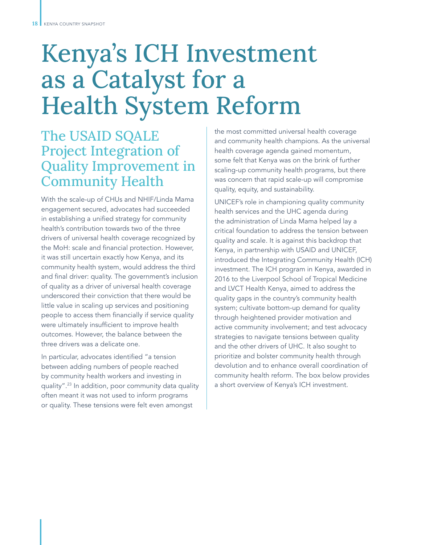# Kenya's ICH Investment as a Catalyst for a Health System Reform

# The USAID SQALE Project Integration of Quality Improvement in Community Health

With the scale-up of CHUs and NHIF/Linda Mama engagement secured, advocates had succeeded in establishing a unified strategy for community health's contribution towards two of the three drivers of universal health coverage recognized by the MoH: scale and financial protection. However, it was still uncertain exactly how Kenya, and its community health system, would address the third and final driver: quality. The government's inclusion of quality as a driver of universal health coverage underscored their conviction that there would be little value in scaling up services and positioning people to access them financially if service quality were ultimately insufficient to improve health outcomes. However, the balance between the three drivers was a delicate one.

In particular, advocates identified "a tension between adding numbers of people reached by community health workers and investing in quality".23 In addition, poor community data quality often meant it was not used to inform programs or quality. These tensions were felt even amongst

the most committed universal health coverage and community health champions. As the universal health coverage agenda gained momentum, some felt that Kenya was on the brink of further scaling-up community health programs, but there was concern that rapid scale-up will compromise quality, equity, and sustainability.

UNICEF's role in championing quality community health services and the UHC agenda during the administration of Linda Mama helped lay a critical foundation to address the tension between quality and scale. It is against this backdrop that Kenya, in partnership with USAID and UNICEF, introduced the Integrating Community Health (ICH) investment. The ICH program in Kenya, awarded in 2016 to the Liverpool School of Tropical Medicine and LVCT Health Kenya, aimed to address the quality gaps in the country's community health system; cultivate bottom-up demand for quality through heightened provider motivation and active community involvement; and test advocacy strategies to navigate tensions between quality and the other drivers of UHC. It also sought to prioritize and bolster community health through devolution and to enhance overall coordination of community health reform. The box below provides a short overview of Kenya's ICH investment.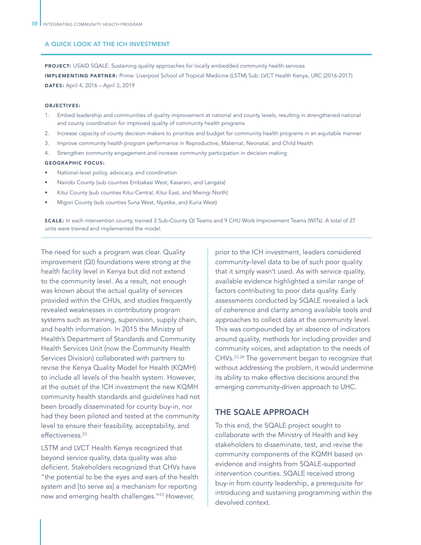#### A QUICK LOOK AT THE ICH INVESTMENT

PROJECT: USAID SQALE: Sustaining quality approaches for locally embedded community health services IMPLEMENTING PARTNER: Prime: Liverpool School of Tropical Medicine (LSTM) Sub: LVCT Health Kenya, URC (2016-2017) DATES: April 4, 2016 – April 3, 2019

#### OBJECTIVES:

- 1. Embed leadership and communities of quality improvement at national and county levels, resulting in strengthened national and county coordination for improved quality of community health programs
- 2. Increase capacity of county decision-makers to prioritize and budget for community health programs in an equitable manner
- 3. Improve community health program performance in Reproductive, Maternal, Neonatal, and Child Health
- 4. Strengthen community engagement and increase community participation in decision-making

#### GEOGRAPHIC FOCUS:

- National-level policy, advocacy, and coordination
- Nairobi County (sub counties Embakasi West, Kasarani, and Langata)
- Kitui County (sub counties Kitui Central, Kitui East, and Mwingi North)
- Migori County (sub counties Suna West, Nyatike, and Kuria West)

SCALE: In each intervention county, trained 3 Sub-County QI Teams and 9 CHU Work Improvement Teams (WITs). A total of 27 units were trained and implemented the model.

The need for such a program was clear. Quality improvement (QI) foundations were strong at the health facility level in Kenya but did not extend to the community level. As a result, not enough was known about the actual quality of services provided within the CHUs, and studies frequently revealed weaknesses in contributory program systems such as training, supervision, supply chain, and health information. In 2015 the Ministry of Health's Department of Standards and Community Health Services Unit (now the Community Health Services Division) collaborated with partners to revise the Kenya Quality Model for Health (KQMH) to include all levels of the health system. However, at the outset of the ICH investment the new KQMH community health standards and guidelines had not been broadly disseminated for county buy-in, nor had they been piloted and tested at the community level to ensure their feasibility, acceptability, and effectiveness.<sup>23</sup>

LSTM and LVCT Health Kenya recognized that beyond service quality, data quality was also deficient. Stakeholders recognized that CHVs have "the potential to be the eyes and ears of the health system and [to serve as] a mechanism for reporting new and emerging health challenges."23 However,

prior to the ICH investment, leaders considered community-level data to be of such poor quality that it simply wasn't used. As with service quality, available evidence highlighted a similar range of factors contributing to poor data quality. Early assessments conducted by SQALE revealed a lack of coherence and clarity among available tools and approaches to collect data at the community level. This was compounded by an absence of indicators around quality, methods for including provider and community voices, and adaptation to the needs of CHVs.23,24 The government began to recognize that without addressing the problem, it would undermine its ability to make effective decisions around the emerging community-driven approach to UHC.

#### THE SQALE APPROACH

To this end, the SQALE project sought to collaborate with the Ministry of Health and key stakeholders to disseminate, test, and revise the community components of the KQMH based on evidence and insights from SQALE-supported intervention counties. SQALE received strong buy-in from county leadership, a prerequisite for introducing and sustaining programming within the devolved context.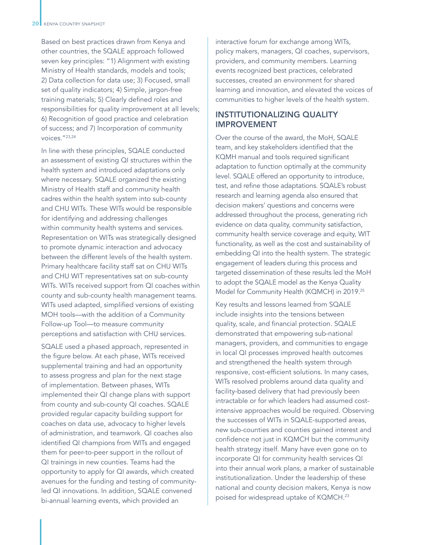Based on best practices drawn from Kenya and other countries, the SQALE approach followed seven key principles: "1) Alignment with existing Ministry of Health standards, models and tools; 2) Data collection for data use; 3) Focused, small set of quality indicators; 4) Simple, jargon-free training materials; 5) Clearly defined roles and responsibilities for quality improvement at all levels; 6) Recognition of good practice and celebration of success; and 7) Incorporation of community voices."23,24

In line with these principles, SQALE conducted an assessment of existing QI structures within the health system and introduced adaptations only where necessary. SQALE organized the existing Ministry of Health staff and community health cadres within the health system into sub-county and CHU WITs. These WITs would be responsible for identifying and addressing challenges within community health systems and services. Representation on WITs was strategically designed to promote dynamic interaction and advocacy between the different levels of the health system. Primary healthcare facility staff sat on CHU WITs and CHU WIT representatives sat on sub-county WITs. WITs received support from QI coaches within county and sub-county health management teams. WITs used adapted, simplified versions of existing MOH tools—with the addition of a Community Follow-up Tool—to measure community perceptions and satisfaction with CHU services.

SQALE used a phased approach, represented in the figure below. At each phase, WITs received supplemental training and had an opportunity to assess progress and plan for the next stage of implementation. Between phases, WITs implemented their QI change plans with support from county and sub-county QI coaches. SQALE provided regular capacity building support for coaches on data use, advocacy to higher levels of administration, and teamwork. QI coaches also identified QI champions from WITs and engaged them for peer-to-peer support in the rollout of QI trainings in new counties. Teams had the opportunity to apply for QI awards, which created avenues for the funding and testing of communityled QI innovations. In addition, SQALE convened bi-annual learning events, which provided an

interactive forum for exchange among WITs, policy makers, managers, QI coaches, supervisors, providers, and community members. Learning events recognized best practices, celebrated successes, created an environment for shared learning and innovation, and elevated the voices of communities to higher levels of the health system.

#### INSTITUTIONALIZING QUALITY IMPROVEMENT

Over the course of the award, the MoH, SQALE team, and key stakeholders identified that the KQMH manual and tools required significant adaptation to function optimally at the community level. SQALE offered an opportunity to introduce, test, and refine those adaptations. SQALE's robust research and learning agenda also ensured that decision makers' questions and concerns were addressed throughout the process, generating rich evidence on data quality, community satisfaction, community health service coverage and equity, WIT functionality, as well as the cost and sustainability of embedding QI into the health system. The strategic engagement of leaders during this process and targeted dissemination of these results led the MoH to adopt the SQALE model as the Kenya Quality Model for Community Health (KQMCH) in 2019.25

Key results and lessons learned from SQALE include insights into the tensions between quality, scale, and financial protection. SQALE demonstrated that empowering sub-national managers, providers, and communities to engage in local QI processes improved health outcomes and strengthened the health system through responsive, cost-efficient solutions. In many cases, WITs resolved problems around data quality and facility-based delivery that had previously been intractable or for which leaders had assumed costintensive approaches would be required. Observing the successes of WITs in SQALE-supported areas, new sub-counties and counties gained interest and confidence not just in KQMCH but the community health strategy itself. Many have even gone on to incorporate QI for community health services QI into their annual work plans, a marker of sustainable institutionalization. Under the leadership of these national and county decision makers, Kenya is now poised for widespread uptake of KQMCH.23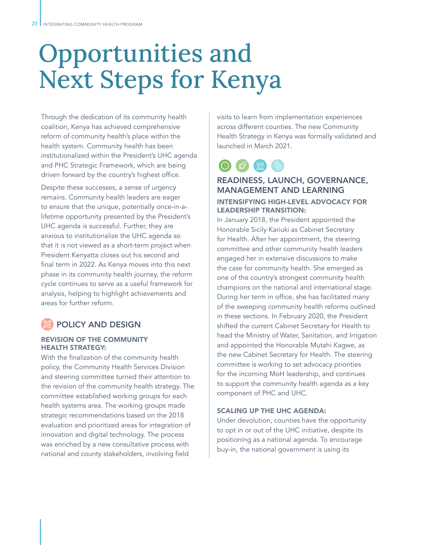# Opportunities and Next Steps for Kenya

Through the dedication of its community health coalition, Kenya has achieved comprehensive reform of community health's place within the health system. Community health has been institutionalized within the President's UHC agenda and PHC Strategic Framework, which are being driven forward by the country's highest office.

Despite these successes, a sense of urgency remains. Community health leaders are eager to ensure that the unique, potentially once-in-alifetime opportunity presented by the President's UHC agenda is successful. Further, they are anxious to institutionalize the UHC agenda so that it is not viewed as a short-term project when President Kenyatta closes out his second and final term in 2022. As Kenya moves into this next phase in its community health journey, the reform cycle continues to serve as a useful framework for analysis, helping to highlight achievements and areas for further reform.

## POLICY AND DESIGN

#### REVISION OF THE COMMUNITY HEALTH STRATEGY:

With the finalization of the community health policy, the Community Health Services Division and steering committee turned their attention to the revision of the community health strategy. The committee established working groups for each health systems area. The working groups made strategic recommendations based on the 2018 evaluation and prioritized areas for integration of innovation and digital technology. The process was enriched by a new consultative process with national and county stakeholders, involving field

visits to learn from implementation experiences across different counties. The new Community Health Strategy in Kenya was formally validated and launched in March 2021.



### READINESS, LAUNCH, GOVERNANCE, MANAGEMENT AND LEARNING

#### INTENSIFYING HIGH-LEVEL ADVOCACY FOR LEADERSHIP TRANSITION:

In January 2018, the President appointed the Honorable Sicily Kariuki as Cabinet Secretary for Health. After her appointment, the steering committee and other community health leaders engaged her in extensive discussions to make the case for community health. She emerged as one of the country's strongest community health champions on the national and international stage. During her term in office, she has facilitated many of the sweeping community health reforms outlined in these sections. In February 2020, the President shifted the current Cabinet Secretary for Health to head the Ministry of Water, Sanitation, and Irrigation and appointed the Honorable Mutahi Kagwe, as the new Cabinet Secretary for Health. The steering committee is working to set advocacy priorities for the incoming MoH leadership, and continues to support the community health agenda as a key component of PHC and UHC.

#### SCALING UP THE UHC AGENDA:

Under devolution, counties have the opportunity to opt in or out of the UHC initiative, despite its positioning as a national agenda. To encourage buy-in, the national government is using its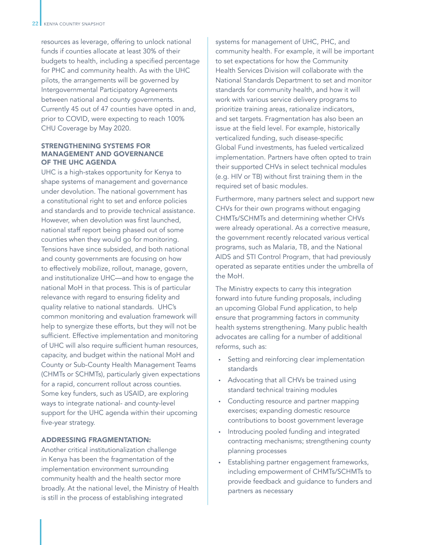resources as leverage, offering to unlock national funds if counties allocate at least 30% of their budgets to health, including a specified percentage for PHC and community health. As with the UHC pilots, the arrangements will be governed by Intergovernmental Participatory Agreements between national and county governments. Currently 45 out of 47 counties have opted in and, prior to COVID, were expecting to reach 100% CHU Coverage by May 2020.

#### STRENGTHENING SYSTEMS FOR MANAGEMENT AND GOVERNANCE OF THE UHC AGENDA

UHC is a high-stakes opportunity for Kenya to shape systems of management and governance under devolution. The national government has a constitutional right to set and enforce policies and standards and to provide technical assistance. However, when devolution was first launched, national staff report being phased out of some counties when they would go for monitoring. Tensions have since subsided, and both national and county governments are focusing on how to effectively mobilize, rollout, manage, govern, and institutionalize UHC—and how to engage the national MoH in that process. This is of particular relevance with regard to ensuring fidelity and quality relative to national standards. UHC's common monitoring and evaluation framework will help to synergize these efforts, but they will not be sufficient. Effective implementation and monitoring of UHC will also require sufficient human resources, capacity, and budget within the national MoH and County or Sub-County Health Management Teams (CHMTs or SCHMTs), particularly given expectations for a rapid, concurrent rollout across counties. Some key funders, such as USAID, are exploring ways to integrate national- and county-level support for the UHC agenda within their upcoming five-year strategy.

#### ADDRESSING FRAGMENTATION:

Another critical institutionalization challenge in Kenya has been the fragmentation of the implementation environment surrounding community health and the health sector more broadly. At the national level, the Ministry of Health is still in the process of establishing integrated

systems for management of UHC, PHC, and community health. For example, it will be important to set expectations for how the Community Health Services Division will collaborate with the National Standards Department to set and monitor standards for community health, and how it will work with various service delivery programs to prioritize training areas, rationalize indicators, and set targets. Fragmentation has also been an issue at the field level. For example, historically verticalized funding, such disease-specific Global Fund investments, has fueled verticalized implementation. Partners have often opted to train their supported CHVs in select technical modules (e.g. HIV or TB) without first training them in the required set of basic modules.

Furthermore, many partners select and support new CHVs for their own programs without engaging CHMTs/SCHMTs and determining whether CHVs were already operational. As a corrective measure, the government recently relocated various vertical programs, such as Malaria, TB, and the National AIDS and STI Control Program, that had previously operated as separate entities under the umbrella of the MoH.

The Ministry expects to carry this integration forward into future funding proposals, including an upcoming Global Fund application, to help ensure that programming factors in community health systems strengthening. Many public health advocates are calling for a number of additional reforms, such as:

- Setting and reinforcing clear implementation standards
- Advocating that all CHVs be trained using standard technical training modules
- Conducting resource and partner mapping exercises; expanding domestic resource contributions to boost government leverage
- Introducing pooled funding and integrated contracting mechanisms; strengthening county planning processes
- Establishing partner engagement frameworks, including empowerment of CHMTs/SCHMTs to provide feedback and guidance to funders and partners as necessary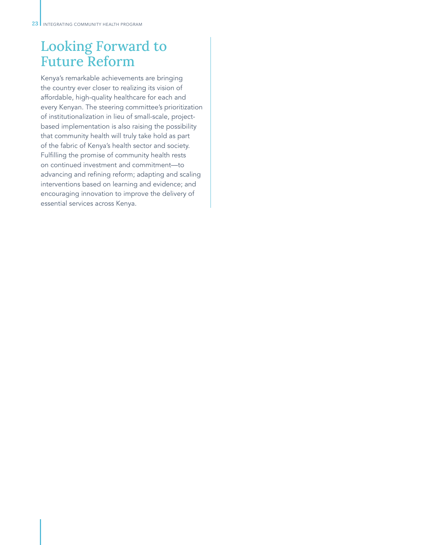# Looking Forward to Future Reform

Kenya's remarkable achievements are bringing the country ever closer to realizing its vision of affordable, high-quality healthcare for each and every Kenyan. The steering committee's prioritization of institutionalization in lieu of small-scale, projectbased implementation is also raising the possibility that community health will truly take hold as part of the fabric of Kenya's health sector and society. Fulfilling the promise of community health rests on continued investment and commitment—to advancing and refining reform; adapting and scaling interventions based on learning and evidence; and encouraging innovation to improve the delivery of essential services across Kenya.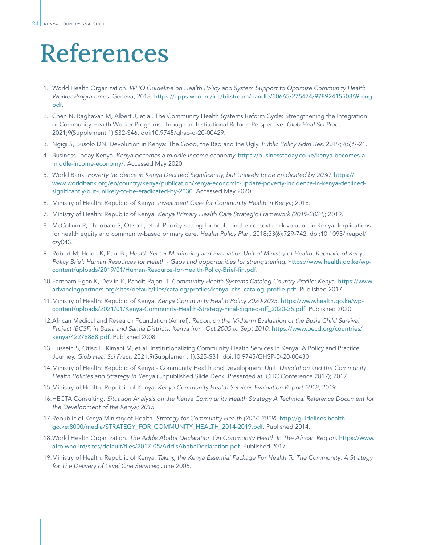# References

- 1. World Health Organization. *WHO Guideline on Health Policy and System Support to Optimize Community Health Worker Programmes.* Geneva; 2018. https://apps.who.int/iris/bitstream/handle/10665/275474/9789241550369-eng. pdf.
- 2. Chen N, Raghavan M, Albert J, et al. The Community Health Systems Reform Cycle: Strengthening the Integration of Community Health Worker Programs Through an Institutional Reform Perspective. *Glob Heal Sci Pract.* 2021;9(Supplement 1):S32-S46. doi:10.9745/ghsp-d-20-00429.
- 3. Ngigi S, Busolo DN. Devolution in Kenya: The Good, the Bad and the Ugly. *Public Policy Adm Res.* 2019;9(6):9-21.
- 4. Business Today Kenya. *Kenya becomes a middle income economy.* https://businesstoday.co.ke/kenya-becomes-amiddle-income-economy/. Accessed May 2020.
- 5. World Bank. Poverty Incidence in Kenya Declined Significantly, but Unlikely to be Eradicated by 2030. https:// www.worldbank.org/en/country/kenya/publication/kenya-economic-update-poverty-incidence-in-kenya-declinedsignificantly-but-unlikely-to-be-eradicated-by-2030. Accessed May 2020.
- 6. Ministry of Health: Republic of Kenya. *Investment Case for Community Health in Kenya*; 2018.
- 7. Ministry of Health: Republic of Kenya. Kenya Primary Health Care Strategic Framework (2019-2024); 2019.
- 8. McCollum R, Theobald S, Otiso L, et al. Priority setting for health in the context of devolution in Kenya: Implications for health equity and community-based primary care. *Health Policy Plan*. 2018;33(6):729-742. doi:10.1093/heapol/ czy043.
- 9. Robert M, Helen K, Paul B., Health Sector Monitoring and Evaluation Unit of Ministry of Health: Republic of Kenya. Policy Brief: Human Resources for Health - Gaps and opportunities for strengthening. https://www.health.go.ke/wpcontent/uploads/2019/01/Human-Resource-for-Health-Policy-Brief-fin.pdf.
- 10.Farnham Egan K, Devlin K, Pandit-Rajani T. Community Health Systems Catalog Country Profile: Kenya. https://www. advancingpartners.org/sites/default/files/catalog/profiles/kenya\_chs\_catalog\_profile.pdf. Published 2017.
- 11.Ministry of Health: Republic of Kenya. Kenya Community Health Policy 2020-2025. https://www.health.go.ke/wpcontent/uploads/2021/01/Kenya-Community-Health-Strategy-Final-Signed-off\_2020-25.pdf. Published 2020.
- 12.African Medical and Research Foundation (Amref). Report on the Midterm Evaluation of the Busia Child Survival Project (BCSP) in Busia and Samia Districts, Kenya from Oct 2005 to Sept 2010. https://www.oecd.org/countries/ kenya/42278868.pdf. Published 2008.
- 13.Hussein S, Otiso L, Kimani M, et al. Institutionalizing Community Health Services in Kenya: A Policy and Practice Journey. *Glob Heal Sci Pract*. 2021;9(Supplement 1):S25-S31. doi:10.9745/GHSP-D-20-00430.
- 14.Ministry of Health: Republic of Kenya Community Health and Development Unit. *Devolution and the Community Health Policies and Strategy in Kenya* (Unpublished Slide Deck, Presented at ICHC Conference 2017); 2017.
- 15.Ministry of Health: Republic of Kenya. Kenya Community Health Services Evaluation Report 2018; 2019.
- 16.HECTA Consulting. *Situation Analysis on the Kenya Community Health Strategy A Technical Reference Document for*  the Development of the Kenya; 2015.
- 17.Republic of Kenya Ministry of Health. Strategy for Community Health (2014-2019). http://guidelines.health. go.ke:8000/media/STRATEGY\_FOR\_COMMUNITY\_HEALTH\_2014-2019.pdf. Published 2014.
- 18.World Health Organization. *The Addis Ababa Declaration On Community Health In The African Region*. https://www. afro.who.int/sites/default/files/2017-05/AddisAbabaDeclaration.pdf. Published 2017.
- 19.Ministry of Health: Republic of Kenya. Taking the Kenya Essential Package For Health To The Community: A Strategy *for The Delivery of Level One Services*; June 2006.